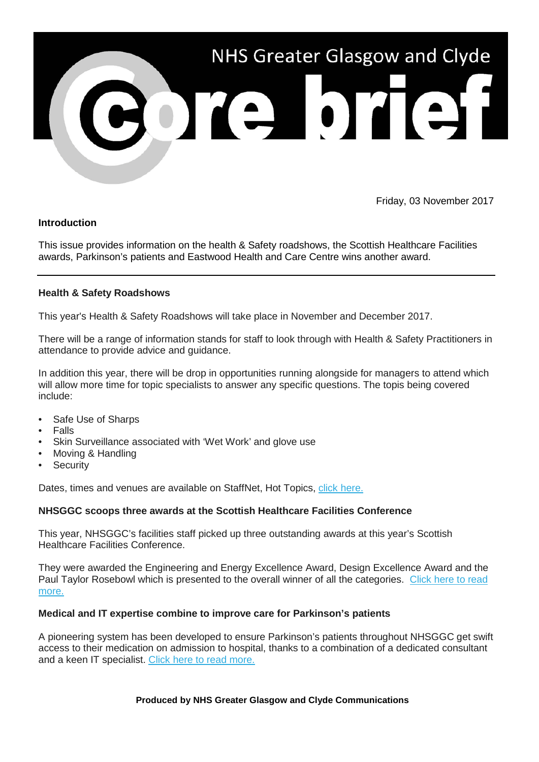

Friday, 03 November 2017

# **Introduction**

This issue provides information on the health & Safety roadshows, the Scottish Healthcare Facilities awards, Parkinson's patients and Eastwood Health and Care Centre wins another award.

# **Health & Safety Roadshows**

This year's Health & Safety Roadshows will take place in November and December 2017.

There will be a range of information stands for staff to look through with Health & Safety Practitioners in attendance to provide advice and guidance.

In addition this year, there will be drop in opportunities running alongside for managers to attend which will allow more time for topic specialists to answer any specific questions. The topis being covered include:

- Safe Use of Sharps
- Falls
- Skin Surveillance associated with 'Wet Work' and glove use
- Moving & Handling
- **Security**

Dates, times and venues are available on StaffNet, Hot Topics, [click here.](https://nhsggc.us12.list-manage.com/track/click?u=0f385b5aea37eaf0213bd19fb&id=334f9cd44a&e=5af5e1832c)

# **NHSGGC scoops three awards at the Scottish Healthcare Facilities Conference**

This year, NHSGGC's facilities staff picked up three outstanding awards at this year's Scottish Healthcare Facilities Conference.

They were awarded the Engineering and Energy Excellence Award, Design Excellence Award and the Paul Taylor Rosebowl which is presented to the overall winner of all the categories. [Click here to read](https://nhsggc.us12.list-manage.com/track/click?u=0f385b5aea37eaf0213bd19fb&id=7f5b70ca2b&e=5af5e1832c)  [more.](https://nhsggc.us12.list-manage.com/track/click?u=0f385b5aea37eaf0213bd19fb&id=7f5b70ca2b&e=5af5e1832c)

### **Medical and IT expertise combine to improve care for Parkinson's patients**

A pioneering system has been developed to ensure Parkinson's patients throughout NHSGGC get swift access to their medication on admission to hospital, thanks to a combination of a dedicated consultant and a keen IT specialist. [Click here to read more.](https://nhsggc.us12.list-manage.com/track/click?u=0f385b5aea37eaf0213bd19fb&id=fbf40a2c0e&e=5af5e1832c)

### **Produced by NHS Greater Glasgow and Clyde Communications**